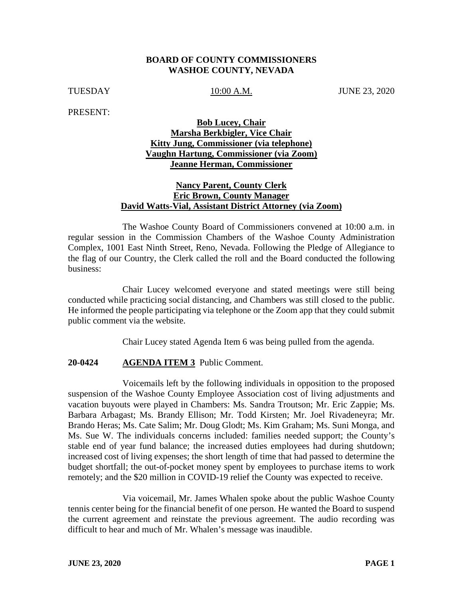#### **BOARD OF COUNTY COMMISSIONERS WASHOE COUNTY, NEVADA**

TUESDAY 10:00 A.M. JUNE 23, 2020

PRESENT:

# **Bob Lucey, Chair Marsha Berkbigler, Vice Chair Kitty Jung, Commissioner (via telephone) Vaughn Hartung, Commissioner (via Zoom) Jeanne Herman, Commissioner**

## **Nancy Parent, County Clerk Eric Brown, County Manager David Watts-Vial, Assistant District Attorney (via Zoom)**

The Washoe County Board of Commissioners convened at 10:00 a.m. in regular session in the Commission Chambers of the Washoe County Administration Complex, 1001 East Ninth Street, Reno, Nevada. Following the Pledge of Allegiance to the flag of our Country, the Clerk called the roll and the Board conducted the following business:

Chair Lucey welcomed everyone and stated meetings were still being conducted while practicing social distancing, and Chambers was still closed to the public. He informed the people participating via telephone or the Zoom app that they could submit public comment via the website.

Chair Lucey stated Agenda Item 6 was being pulled from the agenda.

## **20-0424 AGENDA ITEM 3** Public Comment.

Voicemails left by the following individuals in opposition to the proposed suspension of the Washoe County Employee Association cost of living adjustments and vacation buyouts were played in Chambers: Ms. Sandra Troutson; Mr. Eric Zappie; Ms. Barbara Arbagast; Ms. Brandy Ellison; Mr. Todd Kirsten; Mr. Joel Rivadeneyra; Mr. Brando Heras; Ms. Cate Salim; Mr. Doug Glodt; Ms. Kim Graham; Ms. Suni Monga, and Ms. Sue W. The individuals concerns included: families needed support; the County's stable end of year fund balance; the increased duties employees had during shutdown; increased cost of living expenses; the short length of time that had passed to determine the budget shortfall; the out-of-pocket money spent by employees to purchase items to work remotely; and the \$20 million in COVID-19 relief the County was expected to receive.

Via voicemail, Mr. James Whalen spoke about the public Washoe County tennis center being for the financial benefit of one person. He wanted the Board to suspend the current agreement and reinstate the previous agreement. The audio recording was difficult to hear and much of Mr. Whalen's message was inaudible.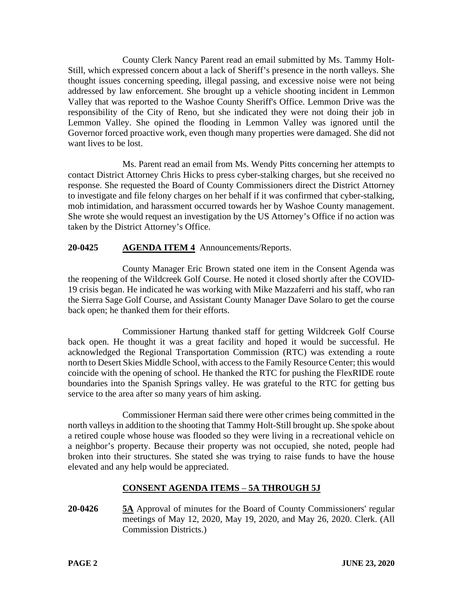County Clerk Nancy Parent read an email submitted by Ms. Tammy Holt-Still, which expressed concern about a lack of Sheriff's presence in the north valleys. She thought issues concerning speeding, illegal passing, and excessive noise were not being addressed by law enforcement. She brought up a vehicle shooting incident in Lemmon Valley that was reported to the Washoe County Sheriff's Office. Lemmon Drive was the responsibility of the City of Reno, but she indicated they were not doing their job in Lemmon Valley. She opined the flooding in Lemmon Valley was ignored until the Governor forced proactive work, even though many properties were damaged. She did not want lives to be lost.

Ms. Parent read an email from Ms. Wendy Pitts concerning her attempts to contact District Attorney Chris Hicks to press cyber-stalking charges, but she received no response. She requested the Board of County Commissioners direct the District Attorney to investigate and file felony charges on her behalf if it was confirmed that cyber-stalking, mob intimidation, and harassment occurred towards her by Washoe County management. She wrote she would request an investigation by the US Attorney's Office if no action was taken by the District Attorney's Office.

# **20-0425 AGENDA ITEM 4** Announcements/Reports.

County Manager Eric Brown stated one item in the Consent Agenda was the reopening of the Wildcreek Golf Course. He noted it closed shortly after the COVID-19 crisis began. He indicated he was working with Mike Mazzaferri and his staff, who ran the Sierra Sage Golf Course, and Assistant County Manager Dave Solaro to get the course back open; he thanked them for their efforts.

Commissioner Hartung thanked staff for getting Wildcreek Golf Course back open. He thought it was a great facility and hoped it would be successful. He acknowledged the Regional Transportation Commission (RTC) was extending a route north to Desert Skies Middle School, with access to the Family Resource Center; this would coincide with the opening of school. He thanked the RTC for pushing the FlexRIDE route boundaries into the Spanish Springs valley. He was grateful to the RTC for getting bus service to the area after so many years of him asking.

Commissioner Herman said there were other crimes being committed in the north valleys in addition to the shooting that Tammy Holt-Still brought up. She spoke about a retired couple whose house was flooded so they were living in a recreational vehicle on a neighbor's property. Because their property was not occupied, she noted, people had broken into their structures. She stated she was trying to raise funds to have the house elevated and any help would be appreciated.

# **CONSENT AGENDA ITEMS** – **5A THROUGH 5J**

**20-0426 5A** Approval of minutes for the Board of County Commissioners' regular meetings of May 12, 2020, May 19, 2020, and May 26, 2020. Clerk. (All Commission Districts.)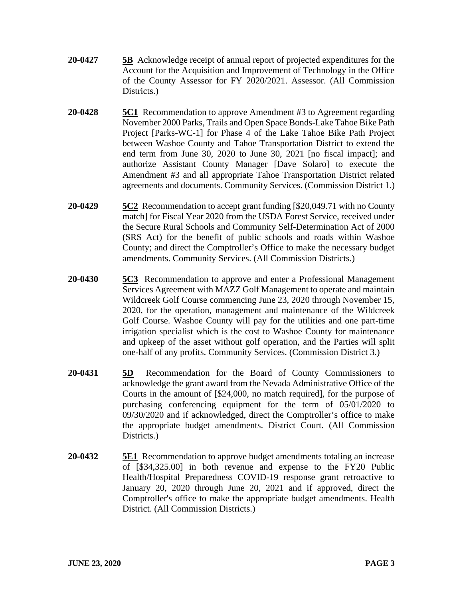- **20-0427 5B** Acknowledge receipt of annual report of projected expenditures for the Account for the Acquisition and Improvement of Technology in the Office of the County Assessor for FY 2020/2021. Assessor. (All Commission Districts.)
- **20-0428 5C1** Recommendation to approve Amendment #3 to Agreement regarding November 2000 Parks, Trails and Open Space Bonds-Lake Tahoe Bike Path Project [Parks-WC-1] for Phase 4 of the Lake Tahoe Bike Path Project between Washoe County and Tahoe Transportation District to extend the end term from June 30, 2020 to June 30, 2021 [no fiscal impact]; and authorize Assistant County Manager [Dave Solaro] to execute the Amendment #3 and all appropriate Tahoe Transportation District related agreements and documents. Community Services. (Commission District 1.)
- **20-0429 5C2** Recommendation to accept grant funding [\$20,049.71 with no County match] for Fiscal Year 2020 from the USDA Forest Service, received under the Secure Rural Schools and Community Self-Determination Act of 2000 (SRS Act) for the benefit of public schools and roads within Washoe County; and direct the Comptroller's Office to make the necessary budget amendments. Community Services. (All Commission Districts.)
- **20-0430 5C3** Recommendation to approve and enter a Professional Management Services Agreement with MAZZ Golf Management to operate and maintain Wildcreek Golf Course commencing June 23, 2020 through November 15, 2020, for the operation, management and maintenance of the Wildcreek Golf Course. Washoe County will pay for the utilities and one part-time irrigation specialist which is the cost to Washoe County for maintenance and upkeep of the asset without golf operation, and the Parties will split one-half of any profits. Community Services. (Commission District 3.)
- **20-0431 5D** Recommendation for the Board of County Commissioners to acknowledge the grant award from the Nevada Administrative Office of the Courts in the amount of [\$24,000, no match required], for the purpose of purchasing conferencing equipment for the term of 05/01/2020 to 09/30/2020 and if acknowledged, direct the Comptroller's office to make the appropriate budget amendments. District Court. (All Commission Districts.)
- **20-0432 5E1** Recommendation to approve budget amendments totaling an increase of [\$34,325.00] in both revenue and expense to the FY20 Public Health/Hospital Preparedness COVID-19 response grant retroactive to January 20, 2020 through June 20, 2021 and if approved, direct the Comptroller's office to make the appropriate budget amendments. Health District. (All Commission Districts.)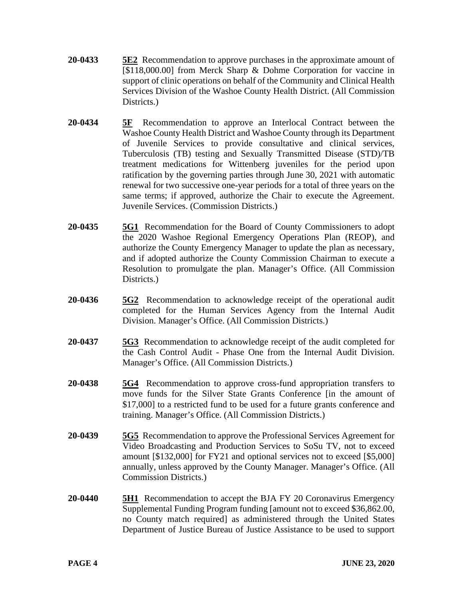- **20-0433 5E2** Recommendation to approve purchases in the approximate amount of [\$118,000.00] from Merck Sharp & Dohme Corporation for vaccine in support of clinic operations on behalf of the Community and Clinical Health Services Division of the Washoe County Health District. (All Commission Districts.
- **20-0434 5F** Recommendation to approve an Interlocal Contract between the Washoe County Health District and Washoe County through its Department of Juvenile Services to provide consultative and clinical services, Tuberculosis (TB) testing and Sexually Transmitted Disease (STD)/TB treatment medications for Wittenberg juveniles for the period upon ratification by the governing parties through June 30, 2021 with automatic renewal for two successive one-year periods for a total of three years on the same terms; if approved, authorize the Chair to execute the Agreement. Juvenile Services. (Commission Districts.)
- **20-0435 5G1** Recommendation for the Board of County Commissioners to adopt the 2020 Washoe Regional Emergency Operations Plan (REOP), and authorize the County Emergency Manager to update the plan as necessary, and if adopted authorize the County Commission Chairman to execute a Resolution to promulgate the plan. Manager's Office. (All Commission Districts.)
- **20-0436 5G2** Recommendation to acknowledge receipt of the operational audit completed for the Human Services Agency from the Internal Audit Division. Manager's Office. (All Commission Districts.)
- **20-0437 5G3** Recommendation to acknowledge receipt of the audit completed for the Cash Control Audit - Phase One from the Internal Audit Division. Manager's Office. (All Commission Districts.)
- **20-0438 5G4** Recommendation to approve cross-fund appropriation transfers to move funds for the Silver State Grants Conference [in the amount of \$17,000] to a restricted fund to be used for a future grants conference and training. Manager's Office. (All Commission Districts.)
- **20-0439 5G5** Recommendation to approve the Professional Services Agreement for Video Broadcasting and Production Services to SoSu TV, not to exceed amount [\$132,000] for FY21 and optional services not to exceed [\$5,000] annually, unless approved by the County Manager. Manager's Office. (All Commission Districts.)
- **20-0440 5H1** Recommendation to accept the BJA FY 20 Coronavirus Emergency Supplemental Funding Program funding [amount not to exceed \$36,862.00, no County match required] as administered through the United States Department of Justice Bureau of Justice Assistance to be used to support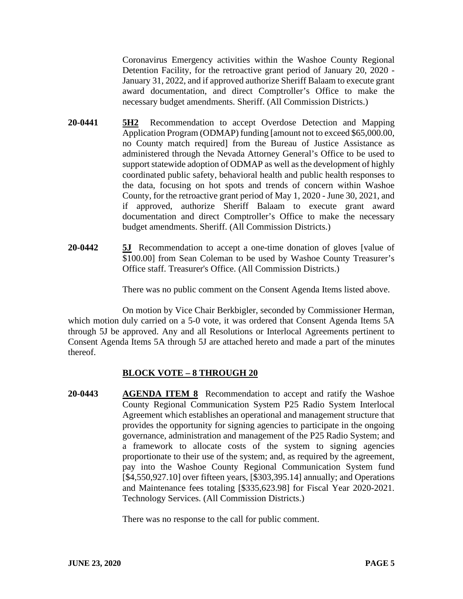Coronavirus Emergency activities within the Washoe County Regional Detention Facility, for the retroactive grant period of January 20, 2020 - January 31, 2022, and if approved authorize Sheriff Balaam to execute grant award documentation, and direct Comptroller's Office to make the necessary budget amendments. Sheriff. (All Commission Districts.)

- **20-0441 5H2** Recommendation to accept Overdose Detection and Mapping Application Program (ODMAP) funding [amount not to exceed \$65,000.00, no County match required] from the Bureau of Justice Assistance as administered through the Nevada Attorney General's Office to be used to support statewide adoption of ODMAP as well as the development of highly coordinated public safety, behavioral health and public health responses to the data, focusing on hot spots and trends of concern within Washoe County, for the retroactive grant period of May 1, 2020 - June 30, 2021, and if approved, authorize Sheriff Balaam to execute grant award documentation and direct Comptroller's Office to make the necessary budget amendments. Sheriff. (All Commission Districts.)
- **20-0442 5J** Recommendation to accept a one-time donation of gloves [value of \$100.00] from Sean Coleman to be used by Washoe County Treasurer's Office staff. Treasurer's Office. (All Commission Districts.)

There was no public comment on the Consent Agenda Items listed above.

On motion by Vice Chair Berkbigler, seconded by Commissioner Herman, which motion duly carried on a 5-0 vote, it was ordered that Consent Agenda Items 5A through 5J be approved. Any and all Resolutions or Interlocal Agreements pertinent to Consent Agenda Items 5A through 5J are attached hereto and made a part of the minutes thereof.

# **BLOCK VOTE – 8 THROUGH 20**

**20-0443 AGENDA ITEM 8** Recommendation to accept and ratify the Washoe County Regional Communication System P25 Radio System Interlocal Agreement which establishes an operational and management structure that provides the opportunity for signing agencies to participate in the ongoing governance, administration and management of the P25 Radio System; and a framework to allocate costs of the system to signing agencies proportionate to their use of the system; and, as required by the agreement, pay into the Washoe County Regional Communication System fund [\$4,550,927.10] over fifteen years, [\$303,395.14] annually; and Operations and Maintenance fees totaling [\$335,623.98] for Fiscal Year 2020-2021. Technology Services. (All Commission Districts.)

There was no response to the call for public comment.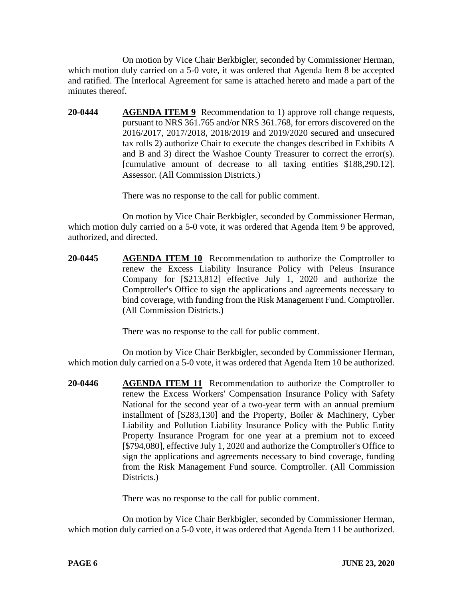On motion by Vice Chair Berkbigler, seconded by Commissioner Herman, which motion duly carried on a 5-0 vote, it was ordered that Agenda Item 8 be accepted and ratified. The Interlocal Agreement for same is attached hereto and made a part of the minutes thereof.

**20-0444 AGENDA ITEM 9** Recommendation to 1) approve roll change requests, pursuant to NRS 361.765 and/or NRS 361.768, for errors discovered on the 2016/2017, 2017/2018, 2018/2019 and 2019/2020 secured and unsecured tax rolls 2) authorize Chair to execute the changes described in Exhibits A and B and 3) direct the Washoe County Treasurer to correct the error(s). [cumulative amount of decrease to all taxing entities \$188,290.12]. Assessor. (All Commission Districts.)

There was no response to the call for public comment.

On motion by Vice Chair Berkbigler, seconded by Commissioner Herman, which motion duly carried on a 5-0 vote, it was ordered that Agenda Item 9 be approved, authorized, and directed.

**20-0445 AGENDA ITEM 10** Recommendation to authorize the Comptroller to renew the Excess Liability Insurance Policy with Peleus Insurance Company for [\$213,812] effective July 1, 2020 and authorize the Comptroller's Office to sign the applications and agreements necessary to bind coverage, with funding from the Risk Management Fund. Comptroller. (All Commission Districts.)

There was no response to the call for public comment.

On motion by Vice Chair Berkbigler, seconded by Commissioner Herman, which motion duly carried on a 5-0 vote, it was ordered that Agenda Item 10 be authorized.

**20-0446 AGENDA ITEM 11** Recommendation to authorize the Comptroller to renew the Excess Workers' Compensation Insurance Policy with Safety National for the second year of a two-year term with an annual premium installment of [\$283,130] and the Property, Boiler & Machinery, Cyber Liability and Pollution Liability Insurance Policy with the Public Entity Property Insurance Program for one year at a premium not to exceed [\$794,080], effective July 1, 2020 and authorize the Comptroller's Office to sign the applications and agreements necessary to bind coverage, funding from the Risk Management Fund source. Comptroller. (All Commission Districts.

There was no response to the call for public comment.

On motion by Vice Chair Berkbigler, seconded by Commissioner Herman, which motion duly carried on a 5-0 vote, it was ordered that Agenda Item 11 be authorized.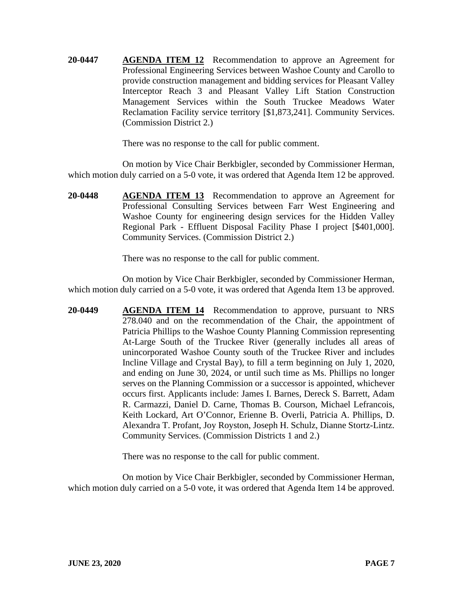**20-0447 AGENDA ITEM 12** Recommendation to approve an Agreement for Professional Engineering Services between Washoe County and Carollo to provide construction management and bidding services for Pleasant Valley Interceptor Reach 3 and Pleasant Valley Lift Station Construction Management Services within the South Truckee Meadows Water Reclamation Facility service territory [\$1,873,241]. Community Services. (Commission District 2.)

There was no response to the call for public comment.

On motion by Vice Chair Berkbigler, seconded by Commissioner Herman, which motion duly carried on a 5-0 vote, it was ordered that Agenda Item 12 be approved.

**20-0448 AGENDA ITEM 13** Recommendation to approve an Agreement for Professional Consulting Services between Farr West Engineering and Washoe County for engineering design services for the Hidden Valley Regional Park - Effluent Disposal Facility Phase I project [\$401,000]. Community Services. (Commission District 2.)

There was no response to the call for public comment.

On motion by Vice Chair Berkbigler, seconded by Commissioner Herman, which motion duly carried on a 5-0 vote, it was ordered that Agenda Item 13 be approved.

**20-0449 AGENDA ITEM 14** Recommendation to approve, pursuant to NRS 278.040 and on the recommendation of the Chair, the appointment of Patricia Phillips to the Washoe County Planning Commission representing At-Large South of the Truckee River (generally includes all areas of unincorporated Washoe County south of the Truckee River and includes Incline Village and Crystal Bay), to fill a term beginning on July 1, 2020, and ending on June 30, 2024, or until such time as Ms. Phillips no longer serves on the Planning Commission or a successor is appointed, whichever occurs first. Applicants include: James I. Barnes, Dereck S. Barrett, Adam R. Carmazzi, Daniel D. Carne, Thomas B. Courson, Michael Lefrancois, Keith Lockard, Art O'Connor, Erienne B. Overli, Patricia A. Phillips, D. Alexandra T. Profant, Joy Royston, Joseph H. Schulz, Dianne Stortz-Lintz. Community Services. (Commission Districts 1 and 2.)

There was no response to the call for public comment.

On motion by Vice Chair Berkbigler, seconded by Commissioner Herman, which motion duly carried on a 5-0 vote, it was ordered that Agenda Item 14 be approved.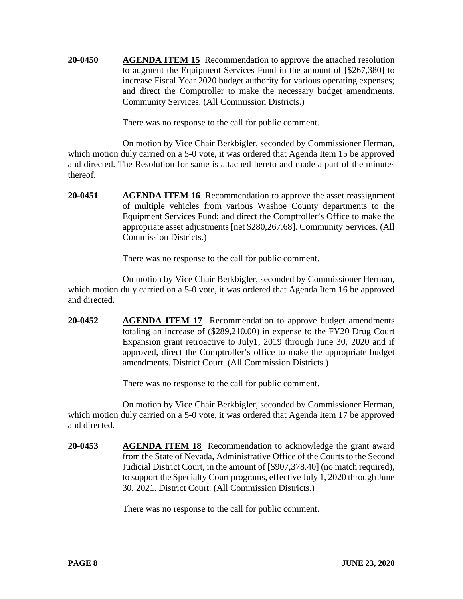**20-0450 AGENDA ITEM 15** Recommendation to approve the attached resolution to augment the Equipment Services Fund in the amount of [\$267,380] to increase Fiscal Year 2020 budget authority for various operating expenses; and direct the Comptroller to make the necessary budget amendments. Community Services. (All Commission Districts.)

There was no response to the call for public comment.

On motion by Vice Chair Berkbigler, seconded by Commissioner Herman, which motion duly carried on a 5-0 vote, it was ordered that Agenda Item 15 be approved and directed. The Resolution for same is attached hereto and made a part of the minutes thereof.

**20-0451 AGENDA ITEM 16** Recommendation to approve the asset reassignment of multiple vehicles from various Washoe County departments to the Equipment Services Fund; and direct the Comptroller's Office to make the appropriate asset adjustments [net \$280,267.68]. Community Services. (All Commission Districts.)

There was no response to the call for public comment.

On motion by Vice Chair Berkbigler, seconded by Commissioner Herman, which motion duly carried on a 5-0 vote, it was ordered that Agenda Item 16 be approved and directed.

**20-0452 AGENDA ITEM 17** Recommendation to approve budget amendments totaling an increase of (\$289,210.00) in expense to the FY20 Drug Court Expansion grant retroactive to July1, 2019 through June 30, 2020 and if approved, direct the Comptroller's office to make the appropriate budget amendments. District Court. (All Commission Districts.)

There was no response to the call for public comment.

On motion by Vice Chair Berkbigler, seconded by Commissioner Herman, which motion duly carried on a 5-0 vote, it was ordered that Agenda Item 17 be approved and directed.

**20-0453 AGENDA ITEM 18** Recommendation to acknowledge the grant award from the State of Nevada, Administrative Office of the Courts to the Second Judicial District Court, in the amount of [\$907,378.40] (no match required), to support the Specialty Court programs, effective July 1, 2020 through June 30, 2021. District Court. (All Commission Districts.)

There was no response to the call for public comment.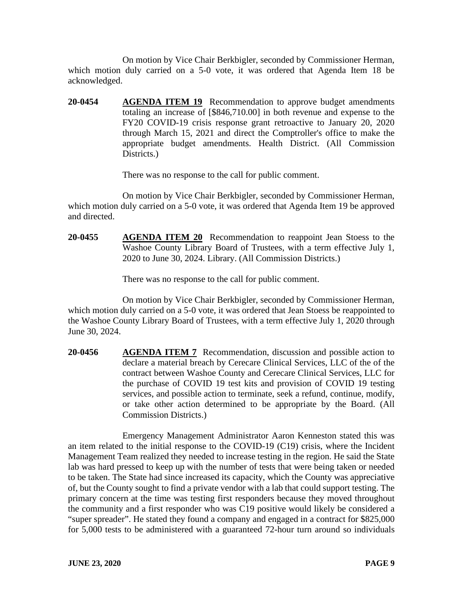On motion by Vice Chair Berkbigler, seconded by Commissioner Herman, which motion duly carried on a 5-0 vote, it was ordered that Agenda Item 18 be acknowledged.

**20-0454 AGENDA ITEM 19** Recommendation to approve budget amendments totaling an increase of [\$846,710.00] in both revenue and expense to the FY20 COVID-19 crisis response grant retroactive to January 20, 2020 through March 15, 2021 and direct the Comptroller's office to make the appropriate budget amendments. Health District. (All Commission Districts.

There was no response to the call for public comment.

On motion by Vice Chair Berkbigler, seconded by Commissioner Herman, which motion duly carried on a 5-0 vote, it was ordered that Agenda Item 19 be approved and directed.

**20-0455 AGENDA ITEM 20** Recommendation to reappoint Jean Stoess to the Washoe County Library Board of Trustees, with a term effective July 1, 2020 to June 30, 2024. Library. (All Commission Districts.)

There was no response to the call for public comment.

On motion by Vice Chair Berkbigler, seconded by Commissioner Herman, which motion duly carried on a 5-0 vote, it was ordered that Jean Stoess be reappointed to the Washoe County Library Board of Trustees, with a term effective July 1, 2020 through June 30, 2024.

**20-0456 AGENDA ITEM 7** Recommendation, discussion and possible action to declare a material breach by Cerecare Clinical Services, LLC of the of the contract between Washoe County and Cerecare Clinical Services, LLC for the purchase of COVID 19 test kits and provision of COVID 19 testing services, and possible action to terminate, seek a refund, continue, modify, or take other action determined to be appropriate by the Board. (All Commission Districts.)

Emergency Management Administrator Aaron Kenneston stated this was an item related to the initial response to the COVID-19 (C19) crisis, where the Incident Management Team realized they needed to increase testing in the region. He said the State lab was hard pressed to keep up with the number of tests that were being taken or needed to be taken. The State had since increased its capacity, which the County was appreciative of, but the County sought to find a private vendor with a lab that could support testing. The primary concern at the time was testing first responders because they moved throughout the community and a first responder who was C19 positive would likely be considered a "super spreader". He stated they found a company and engaged in a contract for \$825,000 for 5,000 tests to be administered with a guaranteed 72-hour turn around so individuals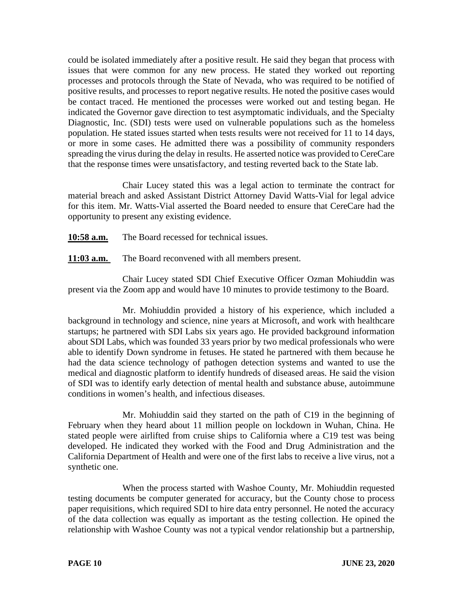could be isolated immediately after a positive result. He said they began that process with issues that were common for any new process. He stated they worked out reporting processes and protocols through the State of Nevada, who was required to be notified of positive results, and processes to report negative results. He noted the positive cases would be contact traced. He mentioned the processes were worked out and testing began. He indicated the Governor gave direction to test asymptomatic individuals, and the Specialty Diagnostic, Inc. (SDI) tests were used on vulnerable populations such as the homeless population. He stated issues started when tests results were not received for 11 to 14 days, or more in some cases. He admitted there was a possibility of community responders spreading the virus during the delay in results. He asserted notice was provided to CereCare that the response times were unsatisfactory, and testing reverted back to the State lab.

Chair Lucey stated this was a legal action to terminate the contract for material breach and asked Assistant District Attorney David Watts-Vial for legal advice for this item. Mr. Watts-Vial asserted the Board needed to ensure that CereCare had the opportunity to present any existing evidence.

**10:58 a.m.** The Board recessed for technical issues.

**11:03 a.m.** The Board reconvened with all members present.

Chair Lucey stated SDI Chief Executive Officer Ozman Mohiuddin was present via the Zoom app and would have 10 minutes to provide testimony to the Board.

Mr. Mohiuddin provided a history of his experience, which included a background in technology and science, nine years at Microsoft, and work with healthcare startups; he partnered with SDI Labs six years ago. He provided background information about SDI Labs, which was founded 33 years prior by two medical professionals who were able to identify Down syndrome in fetuses. He stated he partnered with them because he had the data science technology of pathogen detection systems and wanted to use the medical and diagnostic platform to identify hundreds of diseased areas. He said the vision of SDI was to identify early detection of mental health and substance abuse, autoimmune conditions in women's health, and infectious diseases.

Mr. Mohiuddin said they started on the path of C19 in the beginning of February when they heard about 11 million people on lockdown in Wuhan, China. He stated people were airlifted from cruise ships to California where a C19 test was being developed. He indicated they worked with the Food and Drug Administration and the California Department of Health and were one of the first labs to receive a live virus, not a synthetic one.

When the process started with Washoe County, Mr. Mohiuddin requested testing documents be computer generated for accuracy, but the County chose to process paper requisitions, which required SDI to hire data entry personnel. He noted the accuracy of the data collection was equally as important as the testing collection. He opined the relationship with Washoe County was not a typical vendor relationship but a partnership,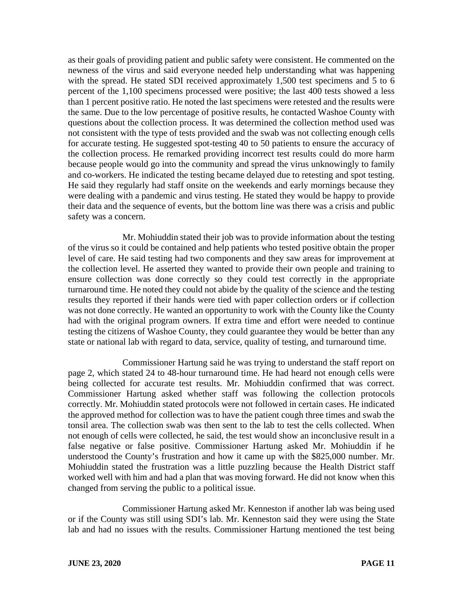as their goals of providing patient and public safety were consistent. He commented on the newness of the virus and said everyone needed help understanding what was happening with the spread. He stated SDI received approximately 1,500 test specimens and 5 to 6 percent of the 1,100 specimens processed were positive; the last 400 tests showed a less than 1 percent positive ratio. He noted the last specimens were retested and the results were the same. Due to the low percentage of positive results, he contacted Washoe County with questions about the collection process. It was determined the collection method used was not consistent with the type of tests provided and the swab was not collecting enough cells for accurate testing. He suggested spot-testing 40 to 50 patients to ensure the accuracy of the collection process. He remarked providing incorrect test results could do more harm because people would go into the community and spread the virus unknowingly to family and co-workers. He indicated the testing became delayed due to retesting and spot testing. He said they regularly had staff onsite on the weekends and early mornings because they were dealing with a pandemic and virus testing. He stated they would be happy to provide their data and the sequence of events, but the bottom line was there was a crisis and public safety was a concern.

Mr. Mohiuddin stated their job was to provide information about the testing of the virus so it could be contained and help patients who tested positive obtain the proper level of care. He said testing had two components and they saw areas for improvement at the collection level. He asserted they wanted to provide their own people and training to ensure collection was done correctly so they could test correctly in the appropriate turnaround time. He noted they could not abide by the quality of the science and the testing results they reported if their hands were tied with paper collection orders or if collection was not done correctly. He wanted an opportunity to work with the County like the County had with the original program owners. If extra time and effort were needed to continue testing the citizens of Washoe County, they could guarantee they would be better than any state or national lab with regard to data, service, quality of testing, and turnaround time.

Commissioner Hartung said he was trying to understand the staff report on page 2, which stated 24 to 48-hour turnaround time. He had heard not enough cells were being collected for accurate test results. Mr. Mohiuddin confirmed that was correct. Commissioner Hartung asked whether staff was following the collection protocols correctly. Mr. Mohiuddin stated protocols were not followed in certain cases. He indicated the approved method for collection was to have the patient cough three times and swab the tonsil area. The collection swab was then sent to the lab to test the cells collected. When not enough of cells were collected, he said, the test would show an inconclusive result in a false negative or false positive. Commissioner Hartung asked Mr. Mohiuddin if he understood the County's frustration and how it came up with the \$825,000 number. Mr. Mohiuddin stated the frustration was a little puzzling because the Health District staff worked well with him and had a plan that was moving forward. He did not know when this changed from serving the public to a political issue.

Commissioner Hartung asked Mr. Kenneston if another lab was being used or if the County was still using SDI's lab. Mr. Kenneston said they were using the State lab and had no issues with the results. Commissioner Hartung mentioned the test being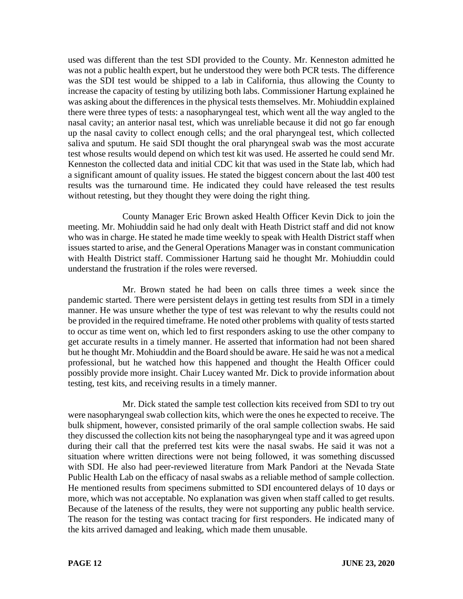used was different than the test SDI provided to the County. Mr. Kenneston admitted he was not a public health expert, but he understood they were both PCR tests. The difference was the SDI test would be shipped to a lab in California, thus allowing the County to increase the capacity of testing by utilizing both labs. Commissioner Hartung explained he was asking about the differences in the physical tests themselves. Mr. Mohiuddin explained there were three types of tests: a nasopharyngeal test, which went all the way angled to the nasal cavity; an anterior nasal test, which was unreliable because it did not go far enough up the nasal cavity to collect enough cells; and the oral pharyngeal test, which collected saliva and sputum. He said SDI thought the oral pharyngeal swab was the most accurate test whose results would depend on which test kit was used. He asserted he could send Mr. Kenneston the collected data and initial CDC kit that was used in the State lab, which had a significant amount of quality issues. He stated the biggest concern about the last 400 test results was the turnaround time. He indicated they could have released the test results without retesting, but they thought they were doing the right thing.

County Manager Eric Brown asked Health Officer Kevin Dick to join the meeting. Mr. Mohiuddin said he had only dealt with Heath District staff and did not know who was in charge. He stated he made time weekly to speak with Health District staff when issues started to arise, and the General Operations Manager was in constant communication with Health District staff. Commissioner Hartung said he thought Mr. Mohiuddin could understand the frustration if the roles were reversed.

Mr. Brown stated he had been on calls three times a week since the pandemic started. There were persistent delays in getting test results from SDI in a timely manner. He was unsure whether the type of test was relevant to why the results could not be provided in the required timeframe. He noted other problems with quality of tests started to occur as time went on, which led to first responders asking to use the other company to get accurate results in a timely manner. He asserted that information had not been shared but he thought Mr. Mohiuddin and the Board should be aware. He said he was not a medical professional, but he watched how this happened and thought the Health Officer could possibly provide more insight. Chair Lucey wanted Mr. Dick to provide information about testing, test kits, and receiving results in a timely manner.

Mr. Dick stated the sample test collection kits received from SDI to try out were nasopharyngeal swab collection kits, which were the ones he expected to receive. The bulk shipment, however, consisted primarily of the oral sample collection swabs. He said they discussed the collection kits not being the nasopharyngeal type and it was agreed upon during their call that the preferred test kits were the nasal swabs. He said it was not a situation where written directions were not being followed, it was something discussed with SDI. He also had peer-reviewed literature from Mark Pandori at the Nevada State Public Health Lab on the efficacy of nasal swabs as a reliable method of sample collection. He mentioned results from specimens submitted to SDI encountered delays of 10 days or more, which was not acceptable. No explanation was given when staff called to get results. Because of the lateness of the results, they were not supporting any public health service. The reason for the testing was contact tracing for first responders. He indicated many of the kits arrived damaged and leaking, which made them unusable.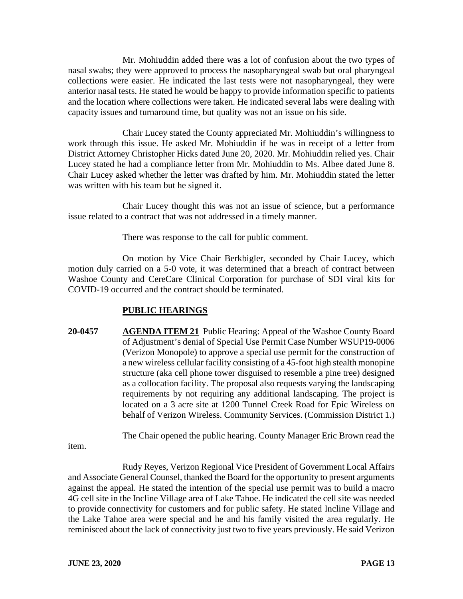Mr. Mohiuddin added there was a lot of confusion about the two types of nasal swabs; they were approved to process the nasopharyngeal swab but oral pharyngeal collections were easier. He indicated the last tests were not nasopharyngeal, they were anterior nasal tests. He stated he would be happy to provide information specific to patients and the location where collections were taken. He indicated several labs were dealing with capacity issues and turnaround time, but quality was not an issue on his side.

Chair Lucey stated the County appreciated Mr. Mohiuddin's willingness to work through this issue. He asked Mr. Mohiuddin if he was in receipt of a letter from District Attorney Christopher Hicks dated June 20, 2020. Mr. Mohiuddin relied yes. Chair Lucey stated he had a compliance letter from Mr. Mohiuddin to Ms. Albee dated June 8. Chair Lucey asked whether the letter was drafted by him. Mr. Mohiuddin stated the letter was written with his team but he signed it.

Chair Lucey thought this was not an issue of science, but a performance issue related to a contract that was not addressed in a timely manner.

There was response to the call for public comment.

On motion by Vice Chair Berkbigler, seconded by Chair Lucey, which motion duly carried on a 5-0 vote, it was determined that a breach of contract between Washoe County and CereCare Clinical Corporation for purchase of SDI viral kits for COVID-19 occurred and the contract should be terminated.

## **PUBLIC HEARINGS**

**20-0457 AGENDA ITEM 21** Public Hearing: Appeal of the Washoe County Board of Adjustment's denial of Special Use Permit Case Number WSUP19-0006 (Verizon Monopole) to approve a special use permit for the construction of a new wireless cellular facility consisting of a 45-foot high stealth monopine structure (aka cell phone tower disguised to resemble a pine tree) designed as a collocation facility. The proposal also requests varying the landscaping requirements by not requiring any additional landscaping. The project is located on a 3 acre site at 1200 Tunnel Creek Road for Epic Wireless on behalf of Verizon Wireless. Community Services. (Commission District 1.)

The Chair opened the public hearing. County Manager Eric Brown read the

item.

Rudy Reyes, Verizon Regional Vice President of Government Local Affairs and Associate General Counsel, thanked the Board for the opportunity to present arguments against the appeal. He stated the intention of the special use permit was to build a macro 4G cell site in the Incline Village area of Lake Tahoe. He indicated the cell site was needed to provide connectivity for customers and for public safety. He stated Incline Village and the Lake Tahoe area were special and he and his family visited the area regularly. He reminisced about the lack of connectivity just two to five years previously. He said Verizon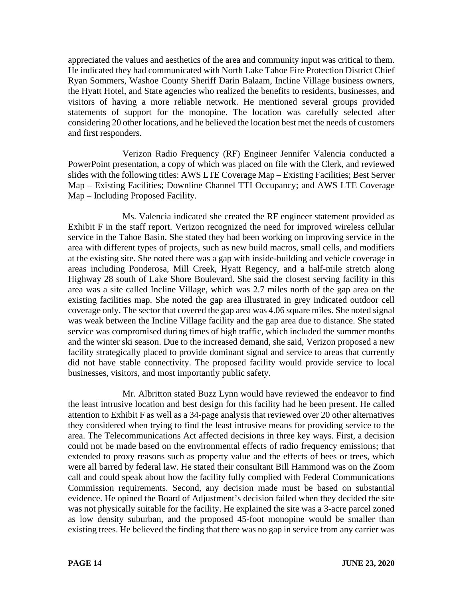appreciated the values and aesthetics of the area and community input was critical to them. He indicated they had communicated with North Lake Tahoe Fire Protection District Chief Ryan Sommers, Washoe County Sheriff Darin Balaam, Incline Village business owners, the Hyatt Hotel, and State agencies who realized the benefits to residents, businesses, and visitors of having a more reliable network. He mentioned several groups provided statements of support for the monopine. The location was carefully selected after considering 20 other locations, and he believed the location best met the needs of customers and first responders.

Verizon Radio Frequency (RF) Engineer Jennifer Valencia conducted a PowerPoint presentation, a copy of which was placed on file with the Clerk, and reviewed slides with the following titles: AWS LTE Coverage Map – Existing Facilities; Best Server Map – Existing Facilities; Downline Channel TTI Occupancy; and AWS LTE Coverage Map – Including Proposed Facility.

Ms. Valencia indicated she created the RF engineer statement provided as Exhibit F in the staff report. Verizon recognized the need for improved wireless cellular service in the Tahoe Basin. She stated they had been working on improving service in the area with different types of projects, such as new build macros, small cells, and modifiers at the existing site. She noted there was a gap with inside-building and vehicle coverage in areas including Ponderosa, Mill Creek, Hyatt Regency, and a half-mile stretch along Highway 28 south of Lake Shore Boulevard. She said the closest serving facility in this area was a site called Incline Village, which was 2.7 miles north of the gap area on the existing facilities map. She noted the gap area illustrated in grey indicated outdoor cell coverage only. The sector that covered the gap area was 4.06 square miles. She noted signal was weak between the Incline Village facility and the gap area due to distance. She stated service was compromised during times of high traffic, which included the summer months and the winter ski season. Due to the increased demand, she said, Verizon proposed a new facility strategically placed to provide dominant signal and service to areas that currently did not have stable connectivity. The proposed facility would provide service to local businesses, visitors, and most importantly public safety.

Mr. Albritton stated Buzz Lynn would have reviewed the endeavor to find the least intrusive location and best design for this facility had he been present. He called attention to Exhibit F as well as a 34-page analysis that reviewed over 20 other alternatives they considered when trying to find the least intrusive means for providing service to the area. The Telecommunications Act affected decisions in three key ways. First, a decision could not be made based on the environmental effects of radio frequency emissions; that extended to proxy reasons such as property value and the effects of bees or trees, which were all barred by federal law. He stated their consultant Bill Hammond was on the Zoom call and could speak about how the facility fully complied with Federal Communications Commission requirements. Second, any decision made must be based on substantial evidence. He opined the Board of Adjustment's decision failed when they decided the site was not physically suitable for the facility. He explained the site was a 3-acre parcel zoned as low density suburban, and the proposed 45-foot monopine would be smaller than existing trees. He believed the finding that there was no gap in service from any carrier was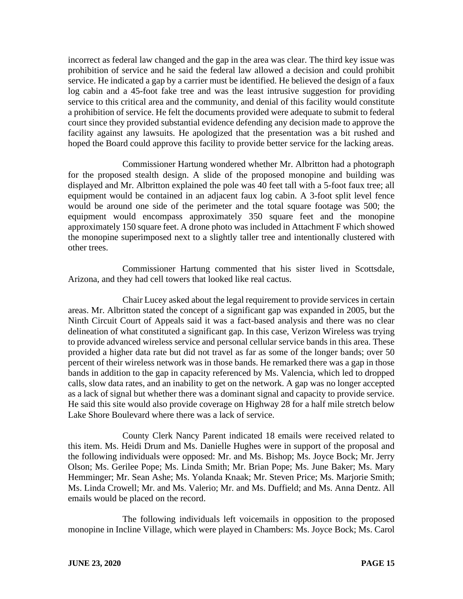incorrect as federal law changed and the gap in the area was clear. The third key issue was prohibition of service and he said the federal law allowed a decision and could prohibit service. He indicated a gap by a carrier must be identified. He believed the design of a faux log cabin and a 45-foot fake tree and was the least intrusive suggestion for providing service to this critical area and the community, and denial of this facility would constitute a prohibition of service. He felt the documents provided were adequate to submit to federal court since they provided substantial evidence defending any decision made to approve the facility against any lawsuits. He apologized that the presentation was a bit rushed and hoped the Board could approve this facility to provide better service for the lacking areas.

Commissioner Hartung wondered whether Mr. Albritton had a photograph for the proposed stealth design. A slide of the proposed monopine and building was displayed and Mr. Albritton explained the pole was 40 feet tall with a 5-foot faux tree; all equipment would be contained in an adjacent faux log cabin. A 3-foot split level fence would be around one side of the perimeter and the total square footage was 500; the equipment would encompass approximately 350 square feet and the monopine approximately 150 square feet. A drone photo was included in Attachment F which showed the monopine superimposed next to a slightly taller tree and intentionally clustered with other trees.

Commissioner Hartung commented that his sister lived in Scottsdale, Arizona, and they had cell towers that looked like real cactus.

Chair Lucey asked about the legal requirement to provide services in certain areas. Mr. Albritton stated the concept of a significant gap was expanded in 2005, but the Ninth Circuit Court of Appeals said it was a fact-based analysis and there was no clear delineation of what constituted a significant gap. In this case, Verizon Wireless was trying to provide advanced wireless service and personal cellular service bands in this area. These provided a higher data rate but did not travel as far as some of the longer bands; over 50 percent of their wireless network was in those bands. He remarked there was a gap in those bands in addition to the gap in capacity referenced by Ms. Valencia, which led to dropped calls, slow data rates, and an inability to get on the network. A gap was no longer accepted as a lack of signal but whether there was a dominant signal and capacity to provide service. He said this site would also provide coverage on Highway 28 for a half mile stretch below Lake Shore Boulevard where there was a lack of service.

County Clerk Nancy Parent indicated 18 emails were received related to this item. Ms. Heidi Drum and Ms. Danielle Hughes were in support of the proposal and the following individuals were opposed: Mr. and Ms. Bishop; Ms. Joyce Bock; Mr. Jerry Olson; Ms. Gerilee Pope; Ms. Linda Smith; Mr. Brian Pope; Ms. June Baker; Ms. Mary Hemminger; Mr. Sean Ashe; Ms. Yolanda Knaak; Mr. Steven Price; Ms. Marjorie Smith; Ms. Linda Crowell; Mr. and Ms. Valerio; Mr. and Ms. Duffield; and Ms. Anna Dentz. All emails would be placed on the record.

The following individuals left voicemails in opposition to the proposed monopine in Incline Village, which were played in Chambers: Ms. Joyce Bock; Ms. Carol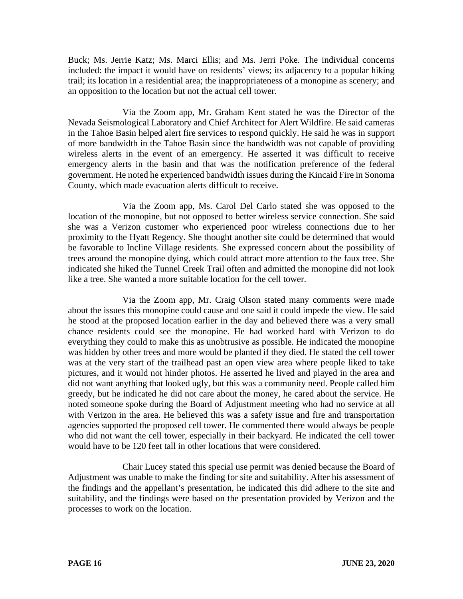Buck; Ms. Jerrie Katz; Ms. Marci Ellis; and Ms. Jerri Poke. The individual concerns included: the impact it would have on residents' views; its adjacency to a popular hiking trail; its location in a residential area; the inappropriateness of a monopine as scenery; and an opposition to the location but not the actual cell tower.

Via the Zoom app, Mr. Graham Kent stated he was the Director of the Nevada Seismological Laboratory and Chief Architect for Alert Wildfire. He said cameras in the Tahoe Basin helped alert fire services to respond quickly. He said he was in support of more bandwidth in the Tahoe Basin since the bandwidth was not capable of providing wireless alerts in the event of an emergency. He asserted it was difficult to receive emergency alerts in the basin and that was the notification preference of the federal government. He noted he experienced bandwidth issues during the Kincaid Fire in Sonoma County, which made evacuation alerts difficult to receive.

Via the Zoom app, Ms. Carol Del Carlo stated she was opposed to the location of the monopine, but not opposed to better wireless service connection. She said she was a Verizon customer who experienced poor wireless connections due to her proximity to the Hyatt Regency. She thought another site could be determined that would be favorable to Incline Village residents. She expressed concern about the possibility of trees around the monopine dying, which could attract more attention to the faux tree. She indicated she hiked the Tunnel Creek Trail often and admitted the monopine did not look like a tree. She wanted a more suitable location for the cell tower.

Via the Zoom app, Mr. Craig Olson stated many comments were made about the issues this monopine could cause and one said it could impede the view. He said he stood at the proposed location earlier in the day and believed there was a very small chance residents could see the monopine. He had worked hard with Verizon to do everything they could to make this as unobtrusive as possible. He indicated the monopine was hidden by other trees and more would be planted if they died. He stated the cell tower was at the very start of the trailhead past an open view area where people liked to take pictures, and it would not hinder photos. He asserted he lived and played in the area and did not want anything that looked ugly, but this was a community need. People called him greedy, but he indicated he did not care about the money, he cared about the service. He noted someone spoke during the Board of Adjustment meeting who had no service at all with Verizon in the area. He believed this was a safety issue and fire and transportation agencies supported the proposed cell tower. He commented there would always be people who did not want the cell tower, especially in their backyard. He indicated the cell tower would have to be 120 feet tall in other locations that were considered.

Chair Lucey stated this special use permit was denied because the Board of Adjustment was unable to make the finding for site and suitability. After his assessment of the findings and the appellant's presentation, he indicated this did adhere to the site and suitability, and the findings were based on the presentation provided by Verizon and the processes to work on the location.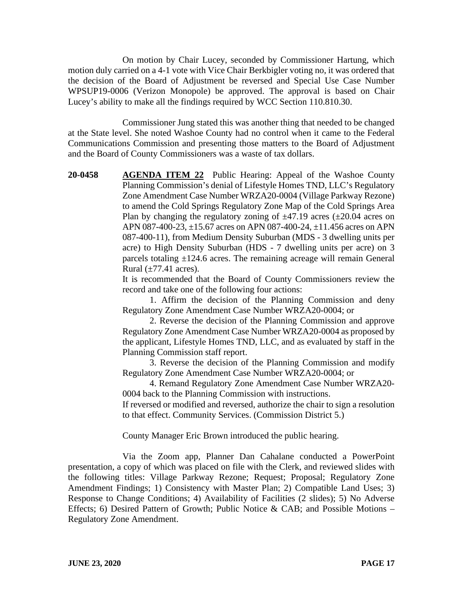On motion by Chair Lucey, seconded by Commissioner Hartung, which motion duly carried on a 4-1 vote with Vice Chair Berkbigler voting no, it was ordered that the decision of the Board of Adjustment be reversed and Special Use Case Number WPSUP19-0006 (Verizon Monopole) be approved. The approval is based on Chair Lucey's ability to make all the findings required by WCC Section 110.810.30.

Commissioner Jung stated this was another thing that needed to be changed at the State level. She noted Washoe County had no control when it came to the Federal Communications Commission and presenting those matters to the Board of Adjustment and the Board of County Commissioners was a waste of tax dollars.

**20-0458 AGENDA ITEM 22** Public Hearing: Appeal of the Washoe County Planning Commission's denial of Lifestyle Homes TND, LLC's Regulatory Zone Amendment Case Number WRZA20-0004 (Village Parkway Rezone) to amend the Cold Springs Regulatory Zone Map of the Cold Springs Area Plan by changing the regulatory zoning of  $\pm$ 47.19 acres ( $\pm$ 20.04 acres on APN 087-400-23, ±15.67 acres on APN 087-400-24, ±11.456 acres on APN 087-400-11), from Medium Density Suburban (MDS - 3 dwelling units per acre) to High Density Suburban (HDS - 7 dwelling units per acre) on 3 parcels totaling ±124.6 acres. The remaining acreage will remain General Rural  $(\pm 77.41$  acres).

> It is recommended that the Board of County Commissioners review the record and take one of the following four actions:

> 1. Affirm the decision of the Planning Commission and deny Regulatory Zone Amendment Case Number WRZA20-0004; or

> 2. Reverse the decision of the Planning Commission and approve Regulatory Zone Amendment Case Number WRZA20-0004 as proposed by the applicant, Lifestyle Homes TND, LLC, and as evaluated by staff in the Planning Commission staff report.

> 3. Reverse the decision of the Planning Commission and modify Regulatory Zone Amendment Case Number WRZA20-0004; or

> 4. Remand Regulatory Zone Amendment Case Number WRZA20- 0004 back to the Planning Commission with instructions.

> If reversed or modified and reversed, authorize the chair to sign a resolution to that effect. Community Services. (Commission District 5.)

County Manager Eric Brown introduced the public hearing.

Via the Zoom app, Planner Dan Cahalane conducted a PowerPoint presentation, a copy of which was placed on file with the Clerk, and reviewed slides with the following titles: Village Parkway Rezone; Request; Proposal; Regulatory Zone Amendment Findings; 1) Consistency with Master Plan; 2) Compatible Land Uses; 3) Response to Change Conditions; 4) Availability of Facilities (2 slides); 5) No Adverse Effects: 6) Desired Pattern of Growth: Public Notice & CAB; and Possible Motions – Regulatory Zone Amendment.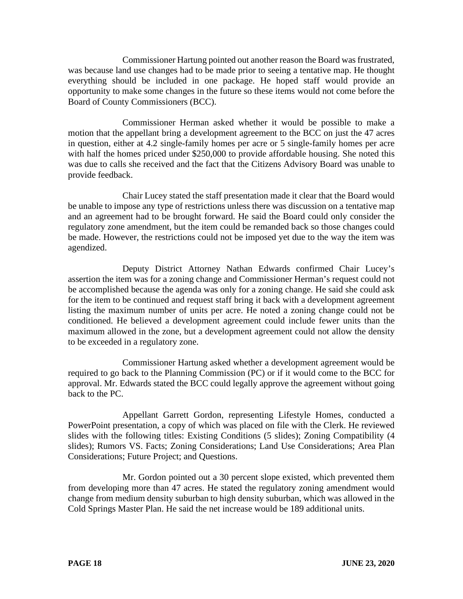Commissioner Hartung pointed out another reason the Board was frustrated, was because land use changes had to be made prior to seeing a tentative map. He thought everything should be included in one package. He hoped staff would provide an opportunity to make some changes in the future so these items would not come before the Board of County Commissioners (BCC).

Commissioner Herman asked whether it would be possible to make a motion that the appellant bring a development agreement to the BCC on just the 47 acres in question, either at 4.2 single-family homes per acre or 5 single-family homes per acre with half the homes priced under \$250,000 to provide affordable housing. She noted this was due to calls she received and the fact that the Citizens Advisory Board was unable to provide feedback.

Chair Lucey stated the staff presentation made it clear that the Board would be unable to impose any type of restrictions unless there was discussion on a tentative map and an agreement had to be brought forward. He said the Board could only consider the regulatory zone amendment, but the item could be remanded back so those changes could be made. However, the restrictions could not be imposed yet due to the way the item was agendized.

Deputy District Attorney Nathan Edwards confirmed Chair Lucey's assertion the item was for a zoning change and Commissioner Herman's request could not be accomplished because the agenda was only for a zoning change. He said she could ask for the item to be continued and request staff bring it back with a development agreement listing the maximum number of units per acre. He noted a zoning change could not be conditioned. He believed a development agreement could include fewer units than the maximum allowed in the zone, but a development agreement could not allow the density to be exceeded in a regulatory zone.

Commissioner Hartung asked whether a development agreement would be required to go back to the Planning Commission (PC) or if it would come to the BCC for approval. Mr. Edwards stated the BCC could legally approve the agreement without going back to the PC.

Appellant Garrett Gordon, representing Lifestyle Homes, conducted a PowerPoint presentation, a copy of which was placed on file with the Clerk. He reviewed slides with the following titles: Existing Conditions (5 slides); Zoning Compatibility (4 slides); Rumors VS. Facts; Zoning Considerations; Land Use Considerations; Area Plan Considerations; Future Project; and Questions.

Mr. Gordon pointed out a 30 percent slope existed, which prevented them from developing more than 47 acres. He stated the regulatory zoning amendment would change from medium density suburban to high density suburban, which was allowed in the Cold Springs Master Plan. He said the net increase would be 189 additional units.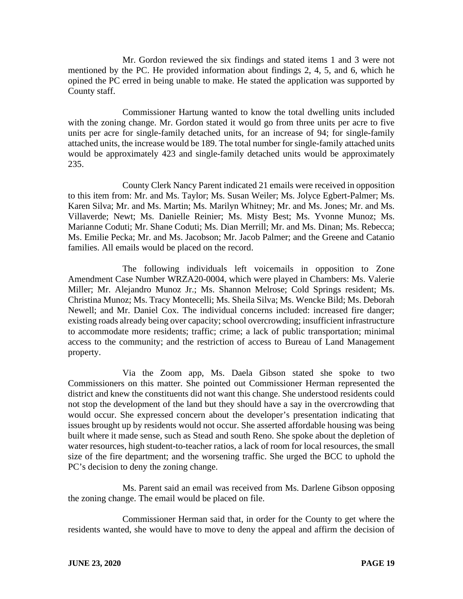Mr. Gordon reviewed the six findings and stated items 1 and 3 were not mentioned by the PC. He provided information about findings 2, 4, 5, and 6, which he opined the PC erred in being unable to make. He stated the application was supported by County staff.

Commissioner Hartung wanted to know the total dwelling units included with the zoning change. Mr. Gordon stated it would go from three units per acre to five units per acre for single-family detached units, for an increase of 94; for single-family attached units, the increase would be 189. The total number for single-family attached units would be approximately 423 and single-family detached units would be approximately 235.

County Clerk Nancy Parent indicated 21 emails were received in opposition to this item from: Mr. and Ms. Taylor; Ms. Susan Weiler; Ms. Jolyce Egbert-Palmer; Ms. Karen Silva; Mr. and Ms. Martin; Ms. Marilyn Whitney; Mr. and Ms. Jones; Mr. and Ms. Villaverde; Newt; Ms. Danielle Reinier; Ms. Misty Best; Ms. Yvonne Munoz; Ms. Marianne Coduti; Mr. Shane Coduti; Ms. Dian Merrill; Mr. and Ms. Dinan; Ms. Rebecca; Ms. Emilie Pecka; Mr. and Ms. Jacobson; Mr. Jacob Palmer; and the Greene and Catanio families. All emails would be placed on the record.

The following individuals left voicemails in opposition to Zone Amendment Case Number WRZA20-0004, which were played in Chambers: Ms. Valerie Miller; Mr. Alejandro Munoz Jr.; Ms. Shannon Melrose; Cold Springs resident; Ms. Christina Munoz; Ms. Tracy Montecelli; Ms. Sheila Silva; Ms. Wencke Bild; Ms. Deborah Newell; and Mr. Daniel Cox. The individual concerns included: increased fire danger; existing roads already being over capacity; school overcrowding; insufficient infrastructure to accommodate more residents; traffic; crime; a lack of public transportation; minimal access to the community; and the restriction of access to Bureau of Land Management property.

Via the Zoom app, Ms. Daela Gibson stated she spoke to two Commissioners on this matter. She pointed out Commissioner Herman represented the district and knew the constituents did not want this change. She understood residents could not stop the development of the land but they should have a say in the overcrowding that would occur. She expressed concern about the developer's presentation indicating that issues brought up by residents would not occur. She asserted affordable housing was being built where it made sense, such as Stead and south Reno. She spoke about the depletion of water resources, high student-to-teacher ratios, a lack of room for local resources, the small size of the fire department; and the worsening traffic. She urged the BCC to uphold the PC's decision to deny the zoning change.

Ms. Parent said an email was received from Ms. Darlene Gibson opposing the zoning change. The email would be placed on file.

Commissioner Herman said that, in order for the County to get where the residents wanted, she would have to move to deny the appeal and affirm the decision of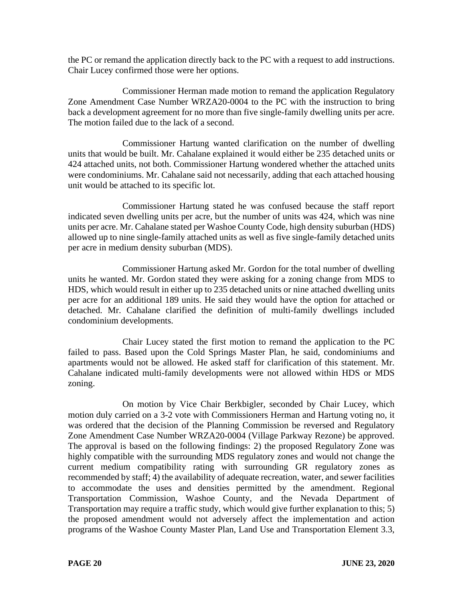the PC or remand the application directly back to the PC with a request to add instructions. Chair Lucey confirmed those were her options.

Commissioner Herman made motion to remand the application Regulatory Zone Amendment Case Number WRZA20-0004 to the PC with the instruction to bring back a development agreement for no more than five single-family dwelling units per acre. The motion failed due to the lack of a second.

Commissioner Hartung wanted clarification on the number of dwelling units that would be built. Mr. Cahalane explained it would either be 235 detached units or 424 attached units, not both. Commissioner Hartung wondered whether the attached units were condominiums. Mr. Cahalane said not necessarily, adding that each attached housing unit would be attached to its specific lot.

Commissioner Hartung stated he was confused because the staff report indicated seven dwelling units per acre, but the number of units was 424, which was nine units per acre. Mr. Cahalane stated per Washoe County Code, high density suburban (HDS) allowed up to nine single-family attached units as well as five single-family detached units per acre in medium density suburban (MDS).

Commissioner Hartung asked Mr. Gordon for the total number of dwelling units he wanted. Mr. Gordon stated they were asking for a zoning change from MDS to HDS, which would result in either up to 235 detached units or nine attached dwelling units per acre for an additional 189 units. He said they would have the option for attached or detached. Mr. Cahalane clarified the definition of multi-family dwellings included condominium developments.

Chair Lucey stated the first motion to remand the application to the PC failed to pass. Based upon the Cold Springs Master Plan, he said, condominiums and apartments would not be allowed. He asked staff for clarification of this statement. Mr. Cahalane indicated multi-family developments were not allowed within HDS or MDS zoning.

On motion by Vice Chair Berkbigler, seconded by Chair Lucey, which motion duly carried on a 3-2 vote with Commissioners Herman and Hartung voting no, it was ordered that the decision of the Planning Commission be reversed and Regulatory Zone Amendment Case Number WRZA20-0004 (Village Parkway Rezone) be approved. The approval is based on the following findings: 2) the proposed Regulatory Zone was highly compatible with the surrounding MDS regulatory zones and would not change the current medium compatibility rating with surrounding GR regulatory zones as recommended by staff; 4) the availability of adequate recreation, water, and sewer facilities to accommodate the uses and densities permitted by the amendment. Regional Transportation Commission, Washoe County, and the Nevada Department of Transportation may require a traffic study, which would give further explanation to this; 5) the proposed amendment would not adversely affect the implementation and action programs of the Washoe County Master Plan, Land Use and Transportation Element 3.3,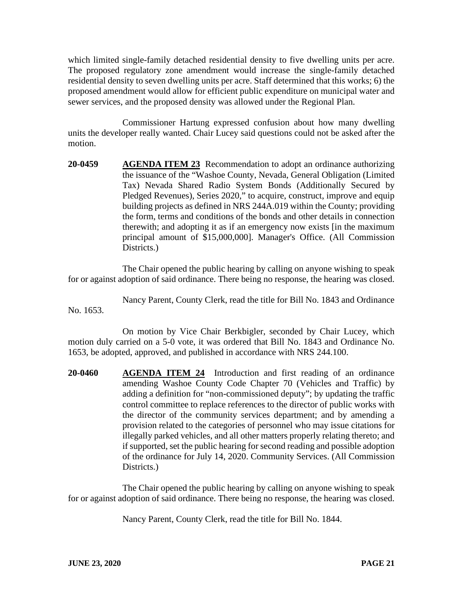which limited single-family detached residential density to five dwelling units per acre. The proposed regulatory zone amendment would increase the single-family detached residential density to seven dwelling units per acre. Staff determined that this works; 6) the proposed amendment would allow for efficient public expenditure on municipal water and sewer services, and the proposed density was allowed under the Regional Plan.

Commissioner Hartung expressed confusion about how many dwelling units the developer really wanted. Chair Lucey said questions could not be asked after the motion.

**20-0459 AGENDA ITEM 23** Recommendation to adopt an ordinance authorizing the issuance of the "Washoe County, Nevada, General Obligation (Limited Tax) Nevada Shared Radio System Bonds (Additionally Secured by Pledged Revenues), Series 2020," to acquire, construct, improve and equip building projects as defined in NRS 244A.019 within the County; providing the form, terms and conditions of the bonds and other details in connection therewith; and adopting it as if an emergency now exists [in the maximum principal amount of \$15,000,000]. Manager's Office. (All Commission Districts.

The Chair opened the public hearing by calling on anyone wishing to speak for or against adoption of said ordinance. There being no response, the hearing was closed.

Nancy Parent, County Clerk, read the title for Bill No. 1843 and Ordinance No. 1653.

On motion by Vice Chair Berkbigler, seconded by Chair Lucey, which motion duly carried on a 5-0 vote, it was ordered that Bill No. 1843 and Ordinance No. 1653, be adopted, approved, and published in accordance with NRS 244.100.

**20-0460 AGENDA ITEM 24** Introduction and first reading of an ordinance amending Washoe County Code Chapter 70 (Vehicles and Traffic) by adding a definition for "non-commissioned deputy"; by updating the traffic control committee to replace references to the director of public works with the director of the community services department; and by amending a provision related to the categories of personnel who may issue citations for illegally parked vehicles, and all other matters properly relating thereto; and if supported, set the public hearing for second reading and possible adoption of the ordinance for July 14, 2020. Community Services. (All Commission Districts.)

The Chair opened the public hearing by calling on anyone wishing to speak for or against adoption of said ordinance. There being no response, the hearing was closed.

Nancy Parent, County Clerk, read the title for Bill No. 1844.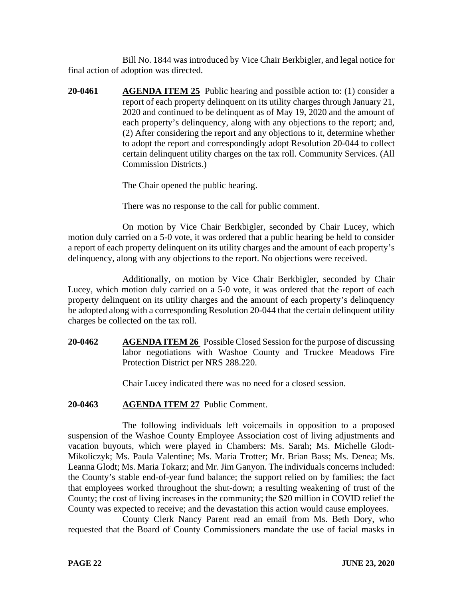Bill No. 1844 was introduced by Vice Chair Berkbigler, and legal notice for final action of adoption was directed.

**20-0461 AGENDA ITEM 25** Public hearing and possible action to: (1) consider a report of each property delinquent on its utility charges through January 21, 2020 and continued to be delinquent as of May 19, 2020 and the amount of each property's delinquency, along with any objections to the report; and, (2) After considering the report and any objections to it, determine whether to adopt the report and correspondingly adopt Resolution 20-044 to collect certain delinquent utility charges on the tax roll. Community Services. (All Commission Districts.)

The Chair opened the public hearing.

There was no response to the call for public comment.

On motion by Vice Chair Berkbigler, seconded by Chair Lucey, which motion duly carried on a 5-0 vote, it was ordered that a public hearing be held to consider a report of each property delinquent on its utility charges and the amount of each property's delinquency, along with any objections to the report. No objections were received.

Additionally, on motion by Vice Chair Berkbigler, seconded by Chair Lucey, which motion duly carried on a 5-0 vote, it was ordered that the report of each property delinquent on its utility charges and the amount of each property's delinquency be adopted along with a corresponding Resolution 20-044 that the certain delinquent utility charges be collected on the tax roll.

**20-0462 AGENDA ITEM 26** Possible Closed Session for the purpose of discussing labor negotiations with Washoe County and Truckee Meadows Fire Protection District per NRS 288.220.

Chair Lucey indicated there was no need for a closed session.

# **20-0463 AGENDA ITEM 27** Public Comment.

The following individuals left voicemails in opposition to a proposed suspension of the Washoe County Employee Association cost of living adjustments and vacation buyouts, which were played in Chambers: Ms. Sarah; Ms. Michelle Glodt-Mikoliczyk; Ms. Paula Valentine; Ms. Maria Trotter; Mr. Brian Bass; Ms. Denea; Ms. Leanna Glodt; Ms. Maria Tokarz; and Mr. Jim Ganyon. The individuals concerns included: the County's stable end-of-year fund balance; the support relied on by families; the fact that employees worked throughout the shut-down; a resulting weakening of trust of the County; the cost of living increases in the community; the \$20 million in COVID relief the County was expected to receive; and the devastation this action would cause employees.

County Clerk Nancy Parent read an email from Ms. Beth Dory, who requested that the Board of County Commissioners mandate the use of facial masks in